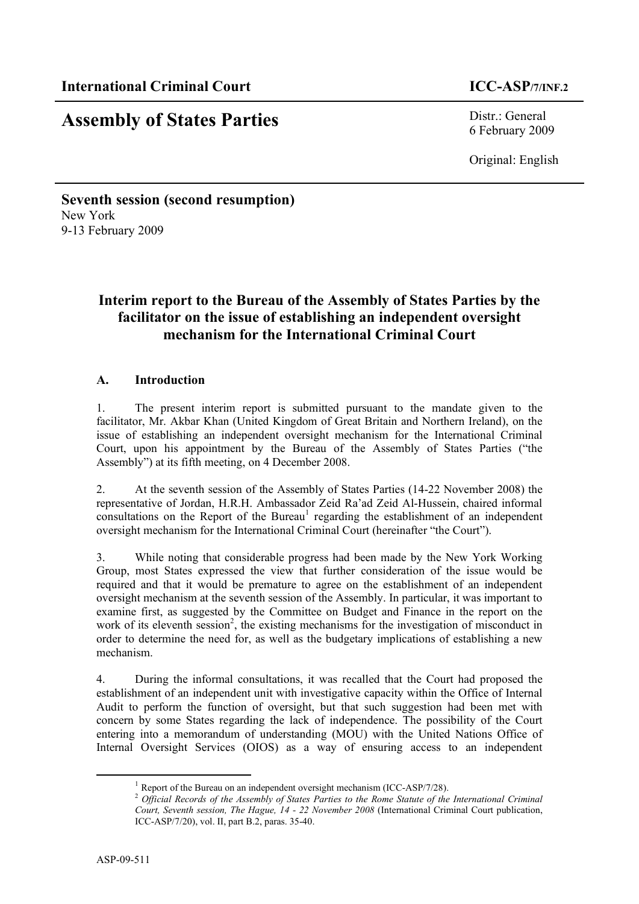# **Assembly of States Parties** Distr.: General

6 February 2009

Original: English

## **Seventh session (second resumption)** New York 9-13 February 2009

## **Interim report to the Bureau of the Assembly of States Parties by the facilitator on the issue of establishing an independent oversight mechanism for the International Criminal Court**

## **A. Introduction**

1. The present interim report is submitted pursuant to the mandate given to the facilitator, Mr. Akbar Khan (United Kingdom of Great Britain and Northern Ireland), on the issue of establishing an independent oversight mechanism for the International Criminal Court, upon his appointment by the Bureau of the Assembly of States Parties ("the Assembly") at its fifth meeting, on 4 December 2008.

2. At the seventh session of the Assembly of States Parties (14-22 November 2008) the representative of Jordan, H.R.H. Ambassador Zeid Ra'ad Zeid Al-Hussein, chaired informal consultations on the Report of the Bureau<sup>1</sup> regarding the establishment of an independent oversight mechanism for the International Criminal Court (hereinafter "the Court").

3. While noting that considerable progress had been made by the New York Working Group, most States expressed the view that further consideration of the issue would be required and that it would be premature to agree on the establishment of an independent oversight mechanism at the seventh session of the Assembly. In particular, it was important to examine first, as suggested by the Committee on Budget and Finance in the report on the work of its eleventh session<sup>2</sup>, the existing mechanisms for the investigation of misconduct in order to determine the need for, as well as the budgetary implications of establishing a new mechanism.

4. During the informal consultations, it was recalled that the Court had proposed the establishment of an independent unit with investigative capacity within the Office of Internal Audit to perform the function of oversight, but that such suggestion had been met with concern by some States regarding the lack of independence. The possibility of the Court entering into a memorandum of understanding (MOU) with the United Nations Office of Internal Oversight Services (OIOS) as a way of ensuring access to an independent

 $1$  Report of the Bureau on an independent oversight mechanism (ICC-ASP/7/28).

<sup>2</sup> *Official Records of the Assembly of States Parties to the Rome Statute of the International Criminal Court, Seventh session, The Hague, 14 - 22 November 2008* (International Criminal Court publication, ICC-ASP/7/20), vol. II, part B.2, paras. 35-40.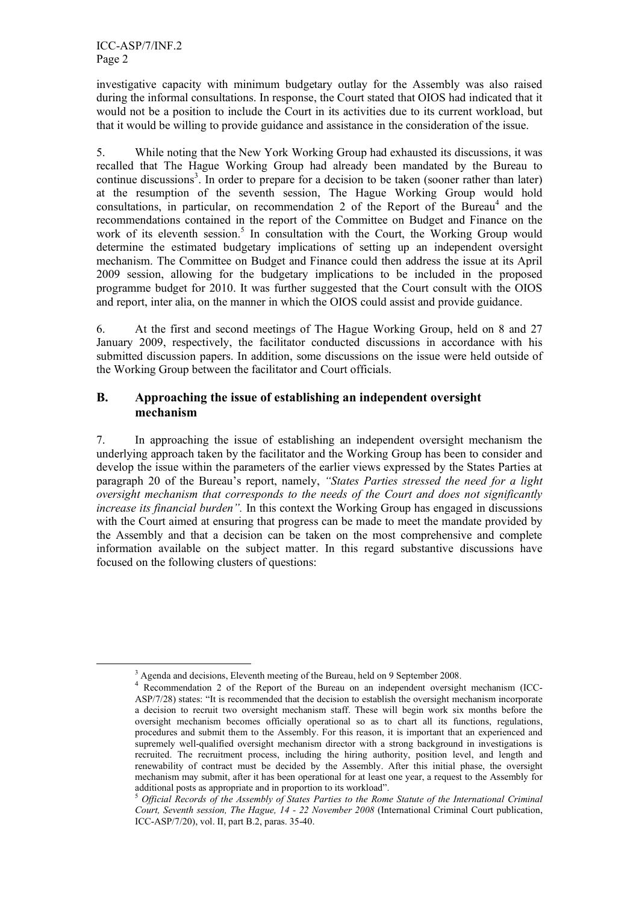investigative capacity with minimum budgetary outlay for the Assembly was also raised during the informal consultations. In response, the Court stated that OIOS had indicated that it would not be a position to include the Court in its activities due to its current workload, but that it would be willing to provide guidance and assistance in the consideration of the issue.

5. While noting that the New York Working Group had exhausted its discussions, it was recalled that The Hague Working Group had already been mandated by the Bureau to continue discussions<sup>3</sup>. In order to prepare for a decision to be taken (sooner rather than later) at the resumption of the seventh session, The Hague Working Group would hold consultations, in particular, on recommendation 2 of the Report of the Bureau<sup>4</sup> and the recommendations contained in the report of the Committee on Budget and Finance on the work of its eleventh session.<sup>5</sup> In consultation with the Court, the Working Group would determine the estimated budgetary implications of setting up an independent oversight mechanism. The Committee on Budget and Finance could then address the issue at its April 2009 session, allowing for the budgetary implications to be included in the proposed programme budget for 2010. It was further suggested that the Court consult with the OIOS and report, inter alia, on the manner in which the OIOS could assist and provide guidance.

6. At the first and second meetings of The Hague Working Group, held on 8 and 27 January 2009, respectively, the facilitator conducted discussions in accordance with his submitted discussion papers. In addition, some discussions on the issue were held outside of the Working Group between the facilitator and Court officials.

## **B. Approaching the issue of establishing an independent oversight mechanism**

7. In approaching the issue of establishing an independent oversight mechanism the underlying approach taken by the facilitator and the Working Group has been to consider and develop the issue within the parameters of the earlier views expressed by the States Parties at paragraph 20 of the Bureau's report, namely, *"States Parties stressed the need for a light oversight mechanism that corresponds to the needs of the Court and does not significantly increase its financial burden".* In this context the Working Group has engaged in discussions with the Court aimed at ensuring that progress can be made to meet the mandate provided by the Assembly and that a decision can be taken on the most comprehensive and complete information available on the subject matter. In this regard substantive discussions have focused on the following clusters of questions:

<sup>&</sup>lt;sup>3</sup> Agenda and decisions, Eleventh meeting of the Bureau, held on 9 September 2008.<br><sup>4</sup> Recommendation 2 of the Report of the Bureau on an independent oversight mechanism (ICC-ASP/7/28) states: "It is recommended that the decision to establish the oversight mechanism incorporate a decision to recruit two oversight mechanism staff. These will begin work six months before the oversight mechanism becomes officially operational so as to chart all its functions, regulations, procedures and submit them to the Assembly. For this reason, it is important that an experienced and supremely well-qualified oversight mechanism director with a strong background in investigations is recruited. The recruitment process, including the hiring authority, position level, and length and renewability of contract must be decided by the Assembly. After this initial phase, the oversight mechanism may submit, after it has been operational for at least one year, a request to the Assembly for additional posts as appropriate and in proportion to its workload".<br><sup>5</sup> Official Records of the Assembly of States Parties to the Rome Statute of the International Criminal

*Court, Seventh session, The Hague, 14 - 22 November 2008* (International Criminal Court publication, ICC-ASP/7/20), vol. II, part B.2, paras. 35-40.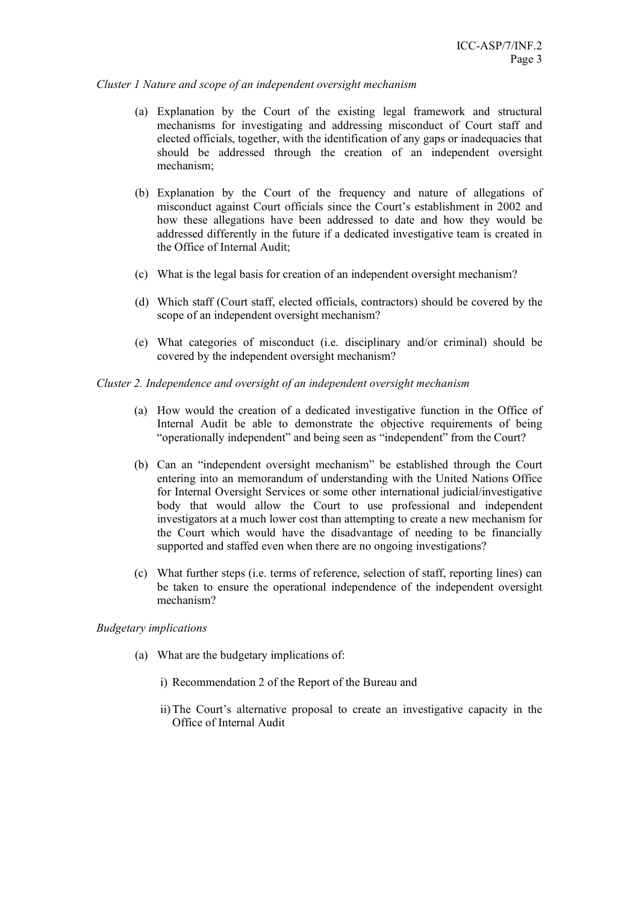#### *Cluster 1 Nature and scope of an independent oversight mechanism*

- (a) Explanation by the Court of the existing legal framework and structural mechanisms for investigating and addressing misconduct of Court staff and elected officials, together, with the identification of any gaps or inadequacies that should be addressed through the creation of an independent oversight mechanism;
- (b) Explanation by the Court of the frequency and nature of allegations of misconduct against Court officials since the Court's establishment in 2002 and how these allegations have been addressed to date and how they would be addressed differently in the future if a dedicated investigative team is created in the Office of Internal Audit;
- (c) What is the legal basis for creation of an independent oversight mechanism?
- (d) Which staff (Court staff, elected officials, contractors) should be covered by the scope of an independent oversight mechanism?
- (e) What categories of misconduct (i.e. disciplinary and/or criminal) should be covered by the independent oversight mechanism?

#### *Cluster 2. Independence and oversight of an independent oversight mechanism*

- (a) How would the creation of a dedicated investigative function in the Office of Internal Audit be able to demonstrate the objective requirements of being "operationally independent" and being seen as "independent" from the Court?
- (b) Can an "independent oversight mechanism" be established through the Court entering into an memorandum of understanding with the United Nations Office for Internal Oversight Services or some other international judicial/investigative body that would allow the Court to use professional and independent investigators at a much lower cost than attempting to create a new mechanism for the Court which would have the disadvantage of needing to be financially supported and staffed even when there are no ongoing investigations?
- (c) What further steps (i.e. terms of reference, selection of staff, reporting lines) can be taken to ensure the operational independence of the independent oversight mechanism?

### *Budgetary implications*

- (a) What are the budgetary implications of:
	- i) Recommendation 2 of the Report of the Bureau and
	- ii)The Court's alternative proposal to create an investigative capacity in the Office of Internal Audit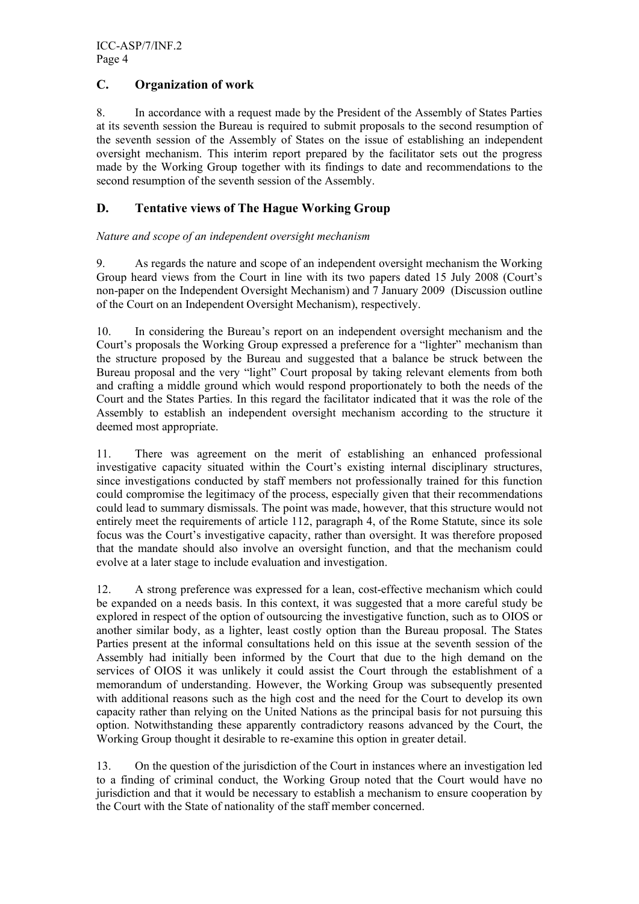## **C. Organization of work**

8. In accordance with a request made by the President of the Assembly of States Parties at its seventh session the Bureau is required to submit proposals to the second resumption of the seventh session of the Assembly of States on the issue of establishing an independent oversight mechanism. This interim report prepared by the facilitator sets out the progress made by the Working Group together with its findings to date and recommendations to the second resumption of the seventh session of the Assembly.

## **D. Tentative views of The Hague Working Group**

### *Nature and scope of an independent oversight mechanism*

9. As regards the nature and scope of an independent oversight mechanism the Working Group heard views from the Court in line with its two papers dated 15 July 2008 (Court's non-paper on the Independent Oversight Mechanism) and 7 January 2009 (Discussion outline of the Court on an Independent Oversight Mechanism), respectively.

10. In considering the Bureau's report on an independent oversight mechanism and the Court's proposals the Working Group expressed a preference for a "lighter" mechanism than the structure proposed by the Bureau and suggested that a balance be struck between the Bureau proposal and the very "light" Court proposal by taking relevant elements from both and crafting a middle ground which would respond proportionately to both the needs of the Court and the States Parties. In this regard the facilitator indicated that it was the role of the Assembly to establish an independent oversight mechanism according to the structure it deemed most appropriate.

11. There was agreement on the merit of establishing an enhanced professional investigative capacity situated within the Court's existing internal disciplinary structures, since investigations conducted by staff members not professionally trained for this function could compromise the legitimacy of the process, especially given that their recommendations could lead to summary dismissals. The point was made, however, that this structure would not entirely meet the requirements of article 112, paragraph 4, of the Rome Statute, since its sole focus was the Court's investigative capacity, rather than oversight. It was therefore proposed that the mandate should also involve an oversight function, and that the mechanism could evolve at a later stage to include evaluation and investigation.

12. A strong preference was expressed for a lean, cost-effective mechanism which could be expanded on a needs basis. In this context, it was suggested that a more careful study be explored in respect of the option of outsourcing the investigative function, such as to OIOS or another similar body, as a lighter, least costly option than the Bureau proposal. The States Parties present at the informal consultations held on this issue at the seventh session of the Assembly had initially been informed by the Court that due to the high demand on the services of OIOS it was unlikely it could assist the Court through the establishment of a memorandum of understanding. However, the Working Group was subsequently presented with additional reasons such as the high cost and the need for the Court to develop its own capacity rather than relying on the United Nations as the principal basis for not pursuing this option. Notwithstanding these apparently contradictory reasons advanced by the Court, the Working Group thought it desirable to re-examine this option in greater detail.

13. On the question of the jurisdiction of the Court in instances where an investigation led to a finding of criminal conduct, the Working Group noted that the Court would have no jurisdiction and that it would be necessary to establish a mechanism to ensure cooperation by the Court with the State of nationality of the staff member concerned.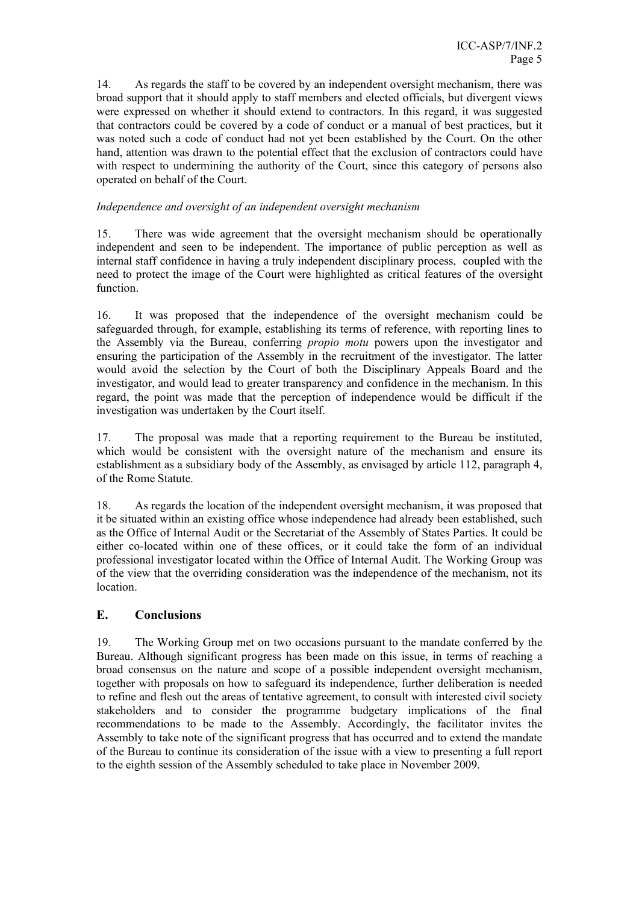14. As regards the staff to be covered by an independent oversight mechanism, there was broad support that it should apply to staff members and elected officials, but divergent views were expressed on whether it should extend to contractors. In this regard, it was suggested that contractors could be covered by a code of conduct or a manual of best practices, but it was noted such a code of conduct had not yet been established by the Court. On the other hand, attention was drawn to the potential effect that the exclusion of contractors could have with respect to undermining the authority of the Court, since this category of persons also operated on behalf of the Court.

## *Independence and oversight of an independent oversight mechanism*

15. There was wide agreement that the oversight mechanism should be operationally independent and seen to be independent. The importance of public perception as well as internal staff confidence in having a truly independent disciplinary process, coupled with the need to protect the image of the Court were highlighted as critical features of the oversight function.

16. It was proposed that the independence of the oversight mechanism could be safeguarded through, for example, establishing its terms of reference, with reporting lines to the Assembly via the Bureau, conferring *propio motu* powers upon the investigator and ensuring the participation of the Assembly in the recruitment of the investigator. The latter would avoid the selection by the Court of both the Disciplinary Appeals Board and the investigator, and would lead to greater transparency and confidence in the mechanism. In this regard, the point was made that the perception of independence would be difficult if the investigation was undertaken by the Court itself.

17. The proposal was made that a reporting requirement to the Bureau be instituted, which would be consistent with the oversight nature of the mechanism and ensure its establishment as a subsidiary body of the Assembly, as envisaged by article 112, paragraph 4, of the Rome Statute.

18. As regards the location of the independent oversight mechanism, it was proposed that it be situated within an existing office whose independence had already been established, such as the Office of Internal Audit or the Secretariat of the Assembly of States Parties. It could be either co-located within one of these offices, or it could take the form of an individual professional investigator located within the Office of Internal Audit. The Working Group was of the view that the overriding consideration was the independence of the mechanism, not its location.

## **E. Conclusions**

19. The Working Group met on two occasions pursuant to the mandate conferred by the Bureau. Although significant progress has been made on this issue, in terms of reaching a broad consensus on the nature and scope of a possible independent oversight mechanism, together with proposals on how to safeguard its independence, further deliberation is needed to refine and flesh out the areas of tentative agreement, to consult with interested civil society stakeholders and to consider the programme budgetary implications of the final recommendations to be made to the Assembly. Accordingly, the facilitator invites the Assembly to take note of the significant progress that has occurred and to extend the mandate of the Bureau to continue its consideration of the issue with a view to presenting a full report to the eighth session of the Assembly scheduled to take place in November 2009.